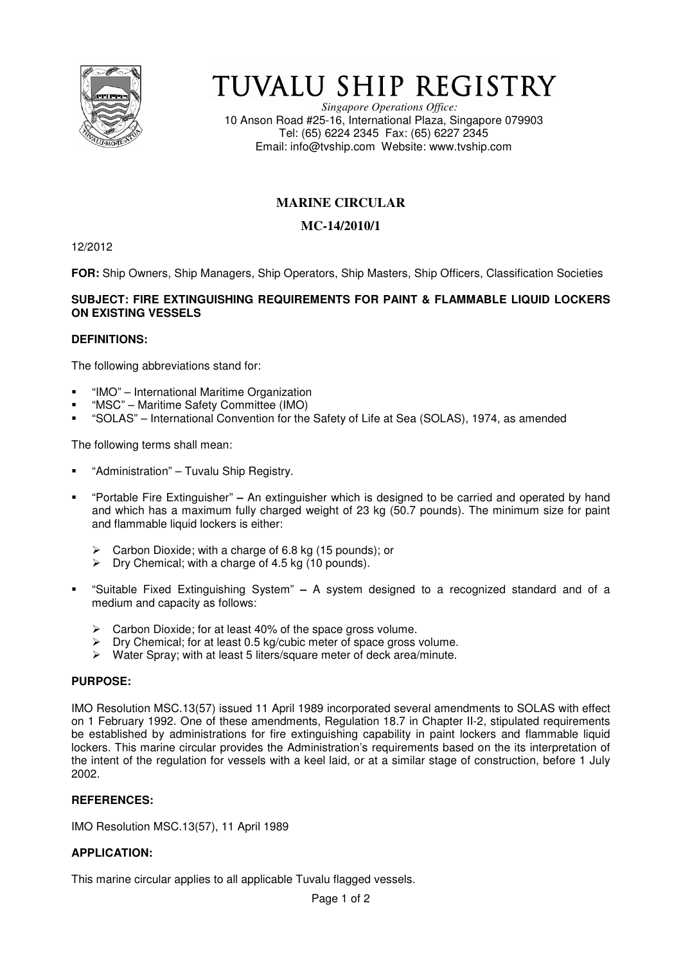

# TUVALU SHIP REGISTRY

*Singapore Operations Office:* 10 Anson Road #25-16, International Plaza, Singapore 079903 Tel: (65) 6224 2345 Fax: (65) 6227 2345 Email: info@tvship.com Website: www.tvship.com

## **MARINE CIRCULAR**

## **MC-14/2010/1**

12/2012

**FOR:** Ship Owners, Ship Managers, Ship Operators, Ship Masters, Ship Officers, Classification Societies

## **SUBJECT: FIRE EXTINGUISHING REQUIREMENTS FOR PAINT & FLAMMABLE LIQUID LOCKERS ON EXISTING VESSELS**

## **DEFINITIONS:**

The following abbreviations stand for:

- "IMO" International Maritime Organization
- "MSC" Maritime Safety Committee (IMO)
- "SOLAS" International Convention for the Safety of Life at Sea (SOLAS), 1974, as amended

The following terms shall mean:

- "Administration" Tuvalu Ship Registry.
- "Portable Fire Extinguisher"An extinguisher which is designed to be carried and operated by hand and which has a maximum fully charged weight of 23 kg (50.7 pounds). The minimum size for paint and flammable liquid lockers is either:
	- ▶ Carbon Dioxide; with a charge of 6.8 kg (15 pounds); or
	- $\triangleright$ Dry Chemical; with a charge of 4.5 kg (10 pounds).
- "Suitable Fixed Extinguishing System"A system designed to a recognized standard and of a medium and capacity as follows:
	- > Carbon Dioxide; for at least 40% of the space gross volume.
	- $\blacktriangleright$ Dry Chemical; for at least 0.5 kg/cubic meter of space gross volume.
	- $\blacktriangleright$ Water Spray; with at least 5 liters/square meter of deck area/minute.

#### **PURPOSE:**

IMO Resolution MSC.13(57) issued 11 April 1989 incorporated several amendments to SOLAS with effect on 1 February 1992. One of these amendments, Regulation 18.7 in Chapter II-2, stipulated requirements be established by administrations for fire extinguishing capability in paint lockers and flammable liquid lockers. This marine circular provides the Administration's requirements based on the its interpretation of the intent of the regulation for vessels with a keel laid, or at a similar stage of construction, before 1 July 2002.

## **REFERENCES:**

IMO Resolution MSC.13(57), 11 April 1989

## **APPLICATION:**

This marine circular applies to all applicable Tuvalu flagged vessels.